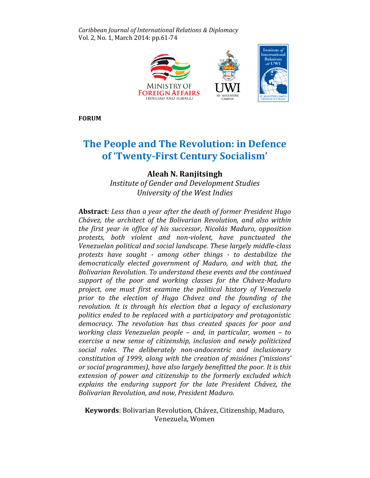Caribbean Journal of International Relations & Diplomacy Vol. 2, No. 1, March 2014: pp.61-74



FORUM

# The People and The Revolution: in Defence of 'Twenty-First Century Socialism'

## Aleah N. Ranjitsingh

Institute of Gender and Development Studies University of the West Indies

Abstract: Less than a year after the death of former President Hugo Chávez, the architect of the Bolivarian Revolution, and also within the first year in office of his successor, Nicolás Maduro, opposition protests, both violent and non-violent, have punctuated the Venezuelan political and social landscape. These largely middle-class protests have sought - among other things - to destabilize the democratically elected government of Maduro, and with that, the Bolivarian Revolution. To understand these events and the continued support of the poor and working classes for the Chávez-Maduro project, one must first examine the political history of Venezuela prior to the election of Hugo Chávez and the founding of the revolution. It is through his election that a legacy of exclusionary politics ended to be replaced with a participatory and protagonistic democracy. The revolution has thus created spaces for poor and working class Venezuelan people – and, in particular, women – to exercise a new sense of citizenship, inclusion and newly politicized social roles. The deliberately non-andocentric and inclusionary constitution of 1999, along with the creation of misiónes ('missions' or social programmes), have also largely benefitted the poor. It is this extension of power and citizenship to the formerly excluded which explains the enduring support for the late President Chávez, the Bolivarian Revolution, and now, President Maduro.

Keywords: Bolivarian Revolution, Chávez, Citizenship, Maduro, Venezuela, Women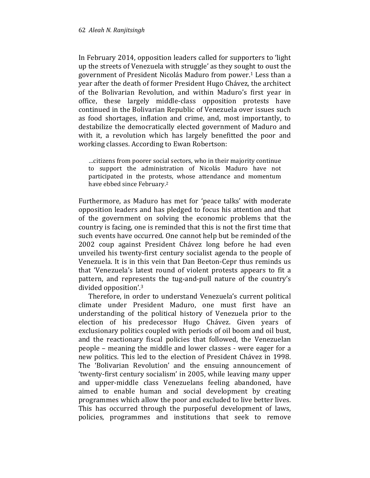In February 2014, opposition leaders called for supporters to 'light up the streets of Venezuela with struggle' as they sought to oust the government of President Nicolás Maduro from power.<sup>1</sup> Less than a year after the death of former President Hugo Chávez, the architect of the Bolivarian Revolution, and within Maduro's first year in office, these largely middle-class opposition protests have continued in the Bolivarian Republic of Venezuela over issues such as food shortages, inflation and crime, and, most importantly, to destabilize the democratically elected government of Maduro and with it, a revolution which has largely benefitted the poor and working classes. According to Ewan Robertson:

…citizens from poorer social sectors, who in their majority continue to support the administration of Nicolás Maduro have not participated in the protests, whose attendance and momentum have ebbed since February.<sup>2</sup>

Furthermore, as Maduro has met for 'peace talks' with moderate opposition leaders and has pledged to focus his attention and that of the government on solving the economic problems that the country is facing, one is reminded that this is not the first time that such events have occurred. One cannot help but be reminded of the 2002 coup against President Chávez long before he had even unveiled his twenty-first century socialist agenda to the people of Venezuela. It is in this vein that Dan Beeton-Cepr thus reminds us that 'Venezuela's latest round of violent protests appears to fit a pattern, and represents the tug-and-pull nature of the country's divided opposition'.<sup>3</sup>

Therefore, in order to understand Venezuela's current political climate under President Maduro, one must first have an understanding of the political history of Venezuela prior to the election of his predecessor Hugo Chávez. Given years of exclusionary politics coupled with periods of oil boom and oil bust, and the reactionary fiscal policies that followed, the Venezuelan people – meaning the middle and lower classes - were eager for a new politics. This led to the election of President Chávez in 1998. The 'Bolivarian Revolution' and the ensuing announcement of 'twenty-first century socialism' in 2005, while leaving many upper and upper-middle class Venezuelans feeling abandoned, have aimed to enable human and social development by creating programmes which allow the poor and excluded to live better lives. This has occurred through the purposeful development of laws, policies, programmes and institutions that seek to remove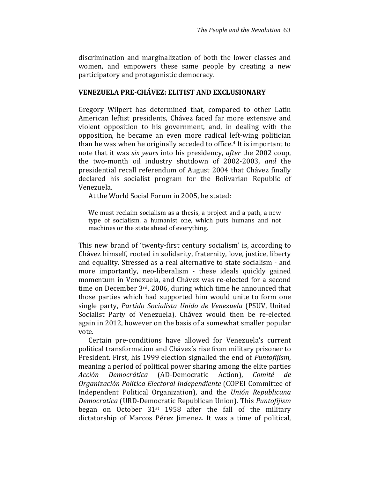discrimination and marginalization of both the lower classes and women, and empowers these same people by creating a new participatory and protagonistic democracy.

#### VENEZUELA PRE-CHÁVEZ: ELITIST AND EXCLUSIONARY

Gregory Wilpert has determined that, compared to other Latin American leftist presidents, Chávez faced far more extensive and violent opposition to his government, and, in dealing with the opposition, he became an even more radical left-wing politician than he was when he originally acceded to office.4 It is important to note that it was six years into his presidency, after the 2002 coup, the two-month oil industry shutdown of 2002-2003, and the presidential recall referendum of August 2004 that Chávez finally declared his socialist program for the Bolivarian Republic of Venezuela.

At the World Social Forum in 2005, he stated:

We must reclaim socialism as a thesis, a project and a path, a new type of socialism, a humanist one, which puts humans and not machines or the state ahead of everything.

This new brand of 'twenty-first century socialism' is, according to Chávez himself, rooted in solidarity, fraternity, love, justice, liberty and equality. Stressed as a real alternative to state socialism - and more importantly, neo-liberalism - these ideals quickly gained momentum in Venezuela, and Chávez was re-elected for a second time on December 3rd, 2006, during which time he announced that those parties which had supported him would unite to form one single party, Partido Socialista Unido de Venezuela (PSUV, United Socialist Party of Venezuela). Chávez would then be re-elected again in 2012, however on the basis of a somewhat smaller popular vote.

Certain pre-conditions have allowed for Venezuela's current political transformation and Chávez's rise from military prisoner to President. First, his 1999 election signalled the end of Puntofijism, meaning a period of political power sharing among the elite parties Acción Democrática (AD-Democratic Action), Comité de Organización Politica Electoral Independiente (COPEI-Committee of Independent Political Organization), and the Unión Republicana Democratica (URD-Democratic Republican Union). This Puntofijism began on October  $31<sup>st</sup>$  1958 after the fall of the military dictatorship of Marcos Pérez Jimenez. It was a time of political,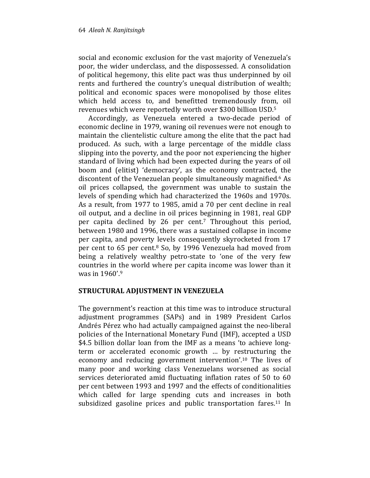social and economic exclusion for the vast majority of Venezuela's poor, the wider underclass, and the dispossessed. A consolidation of political hegemony, this elite pact was thus underpinned by oil rents and furthered the country's unequal distribution of wealth; political and economic spaces were monopolised by those elites which held access to, and benefitted tremendously from, oil revenues which were reportedly worth over \$300 billion USD.<sup>5</sup>

Accordingly, as Venezuela entered a two-decade period of economic decline in 1979, waning oil revenues were not enough to maintain the clientelistic culture among the elite that the pact had produced. As such, with a large percentage of the middle class slipping into the poverty, and the poor not experiencing the higher standard of living which had been expected during the years of oil boom and (elitist) 'democracy', as the economy contracted, the discontent of the Venezuelan people simultaneously magnified.<sup>6</sup> As oil prices collapsed, the government was unable to sustain the levels of spending which had characterized the 1960s and 1970s. As a result, from 1977 to 1985, amid a 70 per cent decline in real oil output, and a decline in oil prices beginning in 1981, real GDP per capita declined by 26 per cent.7 Throughout this period, between 1980 and 1996, there was a sustained collapse in income per capita, and poverty levels consequently skyrocketed from 17 per cent to 65 per cent.8 So, by 1996 Venezuela had moved from being a relatively wealthy petro-state to 'one of the very few countries in the world where per capita income was lower than it was in 1960'.<sup>9</sup>

### STRUCTURAL ADJUSTMENT IN VENEZUELA

The government's reaction at this time was to introduce structural adjustment programmes (SAPs) and in 1989 President Carlos Andrés Pérez who had actually campaigned against the neo-liberal policies of the International Monetary Fund (IMF), accepted a USD \$4.5 billion dollar loan from the IMF as a means 'to achieve longterm or accelerated economic growth … by restructuring the economy and reducing government intervention'.10 The lives of many poor and working class Venezuelans worsened as social services deteriorated amid fluctuating inflation rates of 50 to 60 per cent between 1993 and 1997 and the effects of conditionalities which called for large spending cuts and increases in both subsidized gasoline prices and public transportation fares.<sup>11</sup> In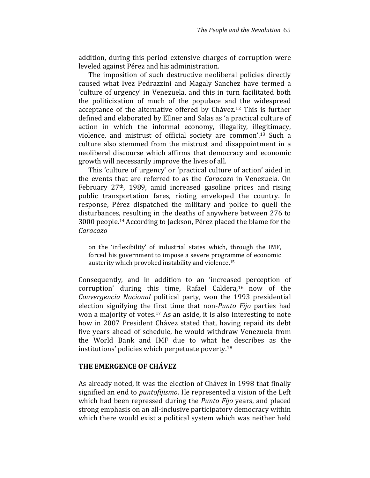addition, during this period extensive charges of corruption were leveled against Pérez and his administration.

The imposition of such destructive neoliberal policies directly caused what Ivez Pedrazzini and Magaly Sanchez have termed a 'culture of urgency' in Venezuela, and this in turn facilitated both the politicization of much of the populace and the widespread acceptance of the alternative offered by Chávez.<sup>12</sup> This is further defined and elaborated by Ellner and Salas as 'a practical culture of action in which the informal economy, illegality, illegitimacy, violence, and mistrust of official society are common'.13 Such a culture also stemmed from the mistrust and disappointment in a neoliberal discourse which affirms that democracy and economic growth will necessarily improve the lives of all.

This 'culture of urgency' or 'practical culture of action' aided in the events that are referred to as the Caracazo in Venezuela. On February 27th, 1989, amid increased gasoline prices and rising public transportation fares, rioting enveloped the country. In response, Pérez dispatched the military and police to quell the disturbances, resulting in the deaths of anywhere between 276 to 3000 people.14 According to Jackson, Pérez placed the blame for the Caracazo

on the 'inflexibility' of industrial states which, through the IMF, forced his government to impose a severe programme of economic austerity which provoked instability and violence.<sup>15</sup>

Consequently, and in addition to an 'increased perception of corruption' during this time, Rafael Caldera,16 now of the Convergencia Nacional political party, won the 1993 presidential election signifying the first time that non-Punto Fijo parties had won a majority of votes.17 As an aside, it is also interesting to note how in 2007 President Chávez stated that, having repaid its debt five years ahead of schedule, he would withdraw Venezuela from the World Bank and IMF due to what he describes as the institutions' policies which perpetuate poverty.<sup>18</sup>

#### THE EMERGENCE OF CHÁVEZ

As already noted, it was the election of Chávez in 1998 that finally signified an end to puntofijismo. He represented a vision of the Left which had been repressed during the Punto Fijo years, and placed strong emphasis on an all-inclusive participatory democracy within which there would exist a political system which was neither held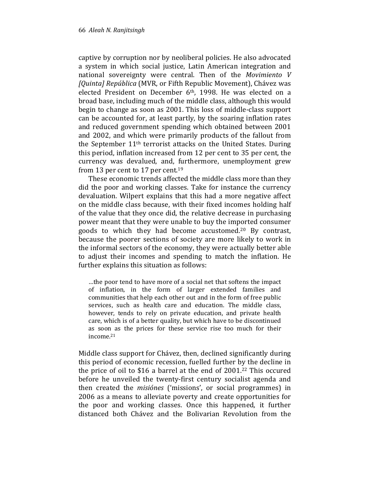captive by corruption nor by neoliberal policies. He also advocated a system in which social justice, Latin American integration and national sovereignty were central. Then of the Movimiento V [Quinta] República (MVR, or Fifth Republic Movement), Chávez was elected President on December 6<sup>th</sup>, 1998. He was elected on a broad base, including much of the middle class, although this would begin to change as soon as 2001. This loss of middle-class support can be accounted for, at least partly, by the soaring inflation rates and reduced government spending which obtained between 2001 and 2002, and which were primarily products of the fallout from the September 11th terrorist attacks on the United States. During this period, inflation increased from 12 per cent to 35 per cent, the currency was devalued, and, furthermore, unemployment grew from 13 per cent to 17 per cent.<sup>19</sup>

These economic trends affected the middle class more than they did the poor and working classes. Take for instance the currency devaluation. Wilpert explains that this had a more negative affect on the middle class because, with their fixed incomes holding half of the value that they once did, the relative decrease in purchasing power meant that they were unable to buy the imported consumer goods to which they had become accustomed.20 By contrast, because the poorer sections of society are more likely to work in the informal sectors of the economy, they were actually better able to adjust their incomes and spending to match the inflation. He further explains this situation as follows:

…the poor tend to have more of a social net that softens the impact of inflation, in the form of larger extended families and communities that help each other out and in the form of free public services, such as health care and education. The middle class, however, tends to rely on private education, and private health care, which is of a better quality, but which have to be discontinued as soon as the prices for these service rise too much for their income.<sup>21</sup>

Middle class support for Chávez, then, declined significantly during this period of economic recession, fuelled further by the decline in the price of oil to \$16 a barrel at the end of 2001. <sup>22</sup> This occured before he unveiled the twenty-first century socialist agenda and then created the misiónes ('missions', or social programmes) in 2006 as a means to alleviate poverty and create opportunities for the poor and working classes. Once this happened, it further distanced both Chávez and the Bolivarian Revolution from the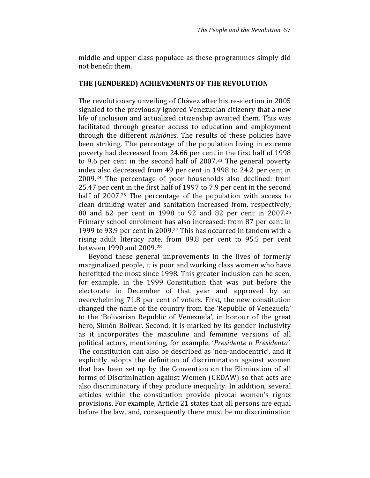middle and upper class populace as these programmes simply did not benefit them.

#### THE (GENDERED) ACHIEVEMENTS OF THE REVOLUTION

The revolutionary unveiling of Chávez after his re-election in 2005 signaled to the previously ignored Venezuelan citizenry that a new life of inclusion and actualized citizenship awaited them. This was facilitated through greater access to education and employment through the different misiónes. The results of these policies have been striking. The percentage of the population living in extreme poverty had decreased from 24.66 per cent in the first half of 1998 to 9.6 per cent in the second half of 2007.23 The general poverty index also decreased from 49 per cent in 1998 to 24.2 per cent in 2009.24 The percentage of poor households also declined: from 25.47 per cent in the first half of 1997 to 7.9 per cent in the second half of 2007.<sup>25</sup> The percentage of the population with access to clean drinking water and sanitation increased from, respectively, 80 and 62 per cent in 1998 to 92 and 82 per cent in 2007.<sup>26</sup> Primary school enrolment has also increased: from 87 per cent in 1999 to 93.9 per cent in 2009.27 This has occurred in tandem with a rising adult literacy rate, from 89.8 per cent to 95.5 per cent between 1990 and 2009.<sup>28</sup>

Beyond these general improvements in the lives of formerly marginalized people, it is poor and working class women who have benefitted the most since 1998. This greater inclusion can be seen, for example, in the 1999 Constitution that was put before the electorate in December of that year and approved by an overwhelming 71.8 per cent of voters. First, the new constitution changed the name of the country from the 'Republic of Venezuela' to the 'Bolivarian Republic of Venezuela', in honour of the great hero, Simón Bolívar. Second, it is marked by its gender inclusivity as it incorporates the masculine and feminine versions of all political actors, mentioning, for example, 'Presidente o Presidenta'. The constitution can also be described as 'non-andocentric', and it explicitly adopts the definition of discrimination against women that has been set up by the Convention on the Elimination of all forms of Discrimination against Women (CEDAW) so that acts are also discriminatory if they produce inequality. In addition, several articles within the constitution provide pivotal women's rights provisions. For example, Article 21 states that all persons are equal before the law, and, consequently there must be no discrimination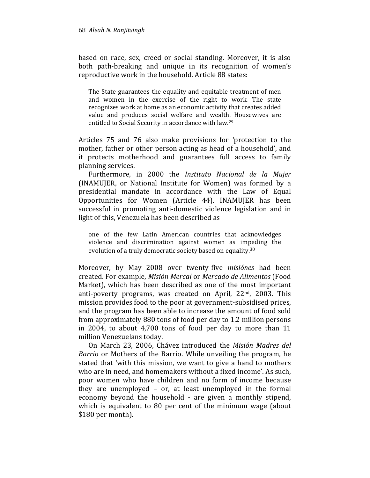based on race, sex, creed or social standing. Moreover, it is also both path-breaking and unique in its recognition of women's reproductive work in the household. Article 88 states:

The State guarantees the equality and equitable treatment of men and women in the exercise of the right to work. The state recognizes work at home as an economic activity that creates added value and produces social welfare and wealth. Housewives are entitled to Social Security in accordance with law.<sup>29</sup>

Articles 75 and 76 also make provisions for 'protection to the mother, father or other person acting as head of a household', and it protects motherhood and guarantees full access to family planning services.

Furthermore, in 2000 the Instituto Nacional de la Mujer (INAMUJER, or National Institute for Women) was formed by a presidential mandate in accordance with the Law of Equal Opportunities for Women (Article 44). INAMUJER has been successful in promoting anti-domestic violence legislation and in light of this, Venezuela has been described as

one of the few Latin American countries that acknowledges violence and discrimination against women as impeding the evolution of a truly democratic society based on equality.<sup>30</sup>

Moreover, by May 2008 over twenty-five misiónes had been created. For example, Misión Mercal or Mercado de Alimentos (Food Market), which has been described as one of the most important anti-poverty programs, was created on April, 22nd, 2003. This mission provides food to the poor at government-subsidised prices, and the program has been able to increase the amount of food sold from approximately 880 tons of food per day to 1.2 million persons in 2004, to about 4,700 tons of food per day to more than 11 million Venezuelans today.

On March 23, 2006, Chávez introduced the Misión Madres del Barrio or Mothers of the Barrio. While unveiling the program, he stated that 'with this mission, we want to give a hand to mothers who are in need, and homemakers without a fixed income'. As such, poor women who have children and no form of income because they are unemployed – or, at least unemployed in the formal economy beyond the household - are given a monthly stipend, which is equivalent to 80 per cent of the minimum wage (about \$180 per month).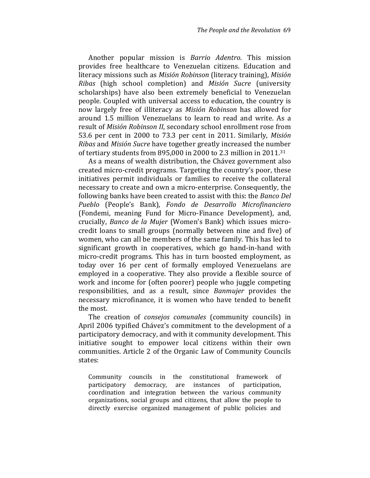Another popular mission is Barrio Adentro. This mission provides free healthcare to Venezuelan citizens. Education and literacy missions such as Misión Robinson (literacy training), Misión Ribas (high school completion) and Misión Sucre (university scholarships) have also been extremely beneficial to Venezuelan people. Coupled with universal access to education, the country is now largely free of illiteracy as Misión Robinson has allowed for around 1.5 million Venezuelans to learn to read and write. As a result of Misión Robinson II, secondary school enrollment rose from 53.6 per cent in 2000 to 73.3 per cent in 2011. Similarly, Misión Ribas and Misión Sucre have together greatly increased the number of tertiary students from 895,000 in 2000 to 2.3 million in 2011.<sup>31</sup>

As a means of wealth distribution, the Chávez government also created micro-credit programs. Targeting the country's poor, these initiatives permit individuals or families to receive the collateral necessary to create and own a micro-enterprise. Consequently, the following banks have been created to assist with this: the Banco Del Pueblo (People's Bank), Fondo de Desarrollo Microfinanciero (Fondemi, meaning Fund for Micro-Finance Development), and, crucially, Banco de la Mujer (Women's Bank) which issues microcredit loans to small groups (normally between nine and five) of women, who can all be members of the same family. This has led to significant growth in cooperatives, which go hand-in-hand with micro-credit programs. This has in turn boosted employment, as today over 16 per cent of formally employed Venezuelans are employed in a cooperative. They also provide a flexible source of work and income for (often poorer) people who juggle competing responsibilities, and as a result, since Banmujer provides the necessary microfinance, it is women who have tended to benefit the most.

The creation of consejos comunales (community councils) in April 2006 typified Chávez's commitment to the development of a participatory democracy, and with it community development. This initiative sought to empower local citizens within their own communities. Article 2 of the Organic Law of Community Councils states:

Community councils in the constitutional framework of participatory democracy, are instances of participation, coordination and integration between the various community organizations, social groups and citizens, that allow the people to directly exercise organized management of public policies and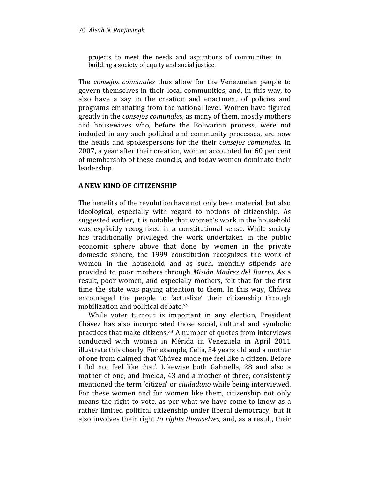projects to meet the needs and aspirations of communities in building a society of equity and social justice.

The consejos comunales thus allow for the Venezuelan people to govern themselves in their local communities, and, in this way, to also have a say in the creation and enactment of policies and programs emanating from the national level. Women have figured greatly in the consejos comunales, as many of them, mostly mothers and housewives who, before the Bolivarian process, were not included in any such political and community processes, are now the heads and spokespersons for the their consejos comunales. In 2007, a year after their creation, women accounted for 60 per cent of membership of these councils, and today women dominate their leadership.

### A NEW KIND OF CITIZENSHIP

The benefits of the revolution have not only been material, but also ideological, especially with regard to notions of citizenship. As suggested earlier, it is notable that women's work in the household was explicitly recognized in a constitutional sense. While society has traditionally privileged the work undertaken in the public economic sphere above that done by women in the private domestic sphere, the 1999 constitution recognizes the work of women in the household and as such, monthly stipends are provided to poor mothers through Misión Madres del Barrio. As a result, poor women, and especially mothers, felt that for the first time the state was paying attention to them. In this way, Chávez encouraged the people to 'actualize' their citizenship through mobilization and political debate.<sup>32</sup>

While voter turnout is important in any election, President Chávez has also incorporated those social, cultural and symbolic practices that make citizens.33 A number of quotes from interviews conducted with women in Mérida in Venezuela in April 2011 illustrate this clearly. For example, Celia, 34 years old and a mother of one from claimed that 'Chávez made me feel like a citizen. Before I did not feel like that'. Likewise both Gabriella, 28 and also a mother of one, and Imelda, 43 and a mother of three, consistently mentioned the term 'citizen' or ciudadano while being interviewed. For these women and for women like them, citizenship not only means the right to vote, as per what we have come to know as a rather limited political citizenship under liberal democracy, but it also involves their right to rights themselves, and, as a result, their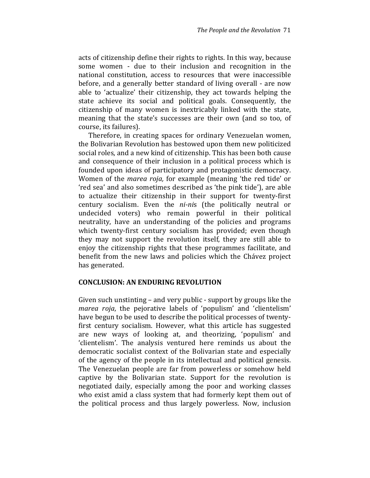acts of citizenship define their rights to rights. In this way, because some women - due to their inclusion and recognition in the national constitution, access to resources that were inaccessible before, and a generally better standard of living overall - are now able to 'actualize' their citizenship, they act towards helping the state achieve its social and political goals. Consequently, the citizenship of many women is inextricably linked with the state, meaning that the state's successes are their own (and so too, of course, its failures).

Therefore, in creating spaces for ordinary Venezuelan women, the Bolivarian Revolution has bestowed upon them new politicized social roles, and a new kind of citizenship. This has been both cause and consequence of their inclusion in a political process which is founded upon ideas of participatory and protagonistic democracy. Women of the marea roja, for example (meaning 'the red tide' or 'red sea' and also sometimes described as 'the pink tide'), are able to actualize their citizenship in their support for twenty-first century socialism. Even the ni-nis (the politically neutral or undecided voters) who remain powerful in their political neutrality, have an understanding of the policies and programs which twenty-first century socialism has provided; even though they may not support the revolution itself, they are still able to enjoy the citizenship rights that these programmes facilitate, and benefit from the new laws and policies which the Chávez project has generated.

#### CONCLUSION: AN ENDURING REVOLUTION

Given such unstinting – and very public - support by groups like the marea roja, the pejorative labels of 'populism' and 'clientelism' have begun to be used to describe the political processes of twentyfirst century socialism. However, what this article has suggested are new ways of looking at, and theorizing, 'populism' and 'clientelism'. The analysis ventured here reminds us about the democratic socialist context of the Bolivarian state and especially of the agency of the people in its intellectual and political genesis. The Venezuelan people are far from powerless or somehow held captive by the Bolivarian state. Support for the revolution is negotiated daily, especially among the poor and working classes who exist amid a class system that had formerly kept them out of the political process and thus largely powerless. Now, inclusion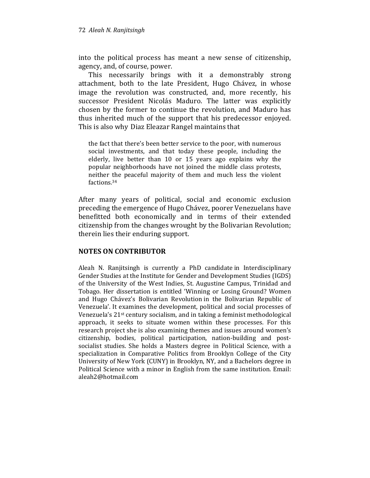into the political process has meant a new sense of citizenship, agency, and, of course, power.

This necessarily brings with it a demonstrably strong attachment, both to the late President, Hugo Chávez, in whose image the revolution was constructed, and, more recently, his successor President Nicolás Maduro. The latter was explicitly chosen by the former to continue the revolution, and Maduro has thus inherited much of the support that his predecessor enjoyed. This is also why Diaz Eleazar Rangel maintains that

the fact that there's been better service to the poor, with numerous social investments, and that today these people, including the elderly, live better than 10 or 15 years ago explains why the popular neighborhoods have not joined the middle class protests, neither the peaceful majority of them and much less the violent factions.<sup>34</sup>

After many years of political, social and economic exclusion preceding the emergence of Hugo Chávez, poorer Venezuelans have benefitted both economically and in terms of their extended citizenship from the changes wrought by the Bolivarian Revolution; therein lies their enduring support.

### NOTES ON CONTRIBUTOR

Aleah N. Ranjitsingh is currently a PhD candidate in Interdisciplinary Gender Studies at the Institute for Gender and Development Studies (IGDS) of the University of the West Indies, St. Augustine Campus, Trinidad and Tobago. Her dissertation is entitled 'Winning or Losing Ground? Women and Hugo Chávez's Bolivarian Revolution in the Bolivarian Republic of Venezuela'. It examines the development, political and social processes of Venezuela's 21st century socialism, and in taking a feminist methodological approach, it seeks to situate women within these processes. For this research project she is also examining themes and issues around women's citizenship, bodies, political participation, nation-building and postsocialist studies. She holds a Masters degree in Political Science, with a specialization in Comparative Politics from Brooklyn College of the City University of New York (CUNY) in Brooklyn, NY, and a Bachelors degree in Political Science with a minor in English from the same institution. Email: aleah2@hotmail.com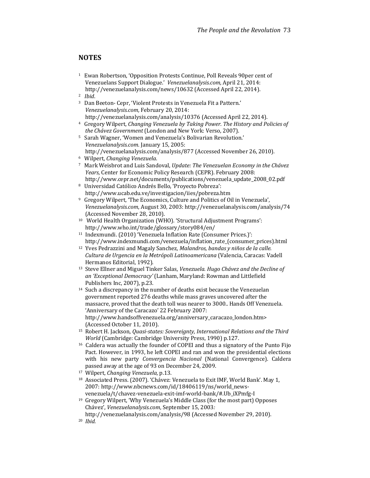#### **NOTES**

- <sup>1</sup> Ewan Robertson, 'Opposition Protests Continue, Poll Reveals 90per cent of Venezuelans Support Dialogue.' Venezuelanalysis.com, April 21, 2014: http://venezuelanalysis.com/news/10632 (Accessed April 22, 2014).
- $\frac{2}{3}$  *Ibid.*
- <sup>3</sup> Dan Beeton- Cepr, 'Violent Protests in Venezuela Fit a Pattern.' Venezuelanalysis.com, February 20, 2014: http://venezuelanalysis.com/analysis/10376 (Accessed April 22, 2014).
- <sup>4</sup> Gregory Wilpert, Changing Venezuela by Taking Power. The History and Policies of the Chávez Government (London and New York: Verso, 2007).
- <sup>5</sup> Sarah Wagner, 'Women and Venezuela's Bolivarian Revolution.' Venezuelanalysis.com. January 15, 2005: http://venezuelanalysis.com/analysis/877 (Accessed November 26, 2010).
- <sup>6</sup> Wilpert, Changing Venezuela.
- <sup>7</sup> Mark Weisbrot and Luis Sandoval, Update: The Venezuelan Economy in the Chávez Years, Center for Economic Policy Research (CEPR). February 2008: http://www.cepr.net/documents/publications/venezuela\_update\_2008\_02.pdf
- <sup>8</sup> Universidad Católico Andrés Bello, 'Proyecto Pobreza': http://www.ucab.edu.ve/investigacion/iies/pobreza.htm
- <sup>9</sup> Gregory Wilpert, 'The Economics, Culture and Politics of Oil in Venezuela', Venezuelanalysis.com, August 30, 2003: http://venezuelanalysis.com/analysis/74 (Accessed November 28, 2010).
- <sup>10</sup> World Health Organization (WHO). 'Structural Adjustment Programs': http://www.who.int/trade/glossary/story084/en/
- <sup>11</sup> Indexmundi. (2010) 'Venezuela Inflation Rate (Consumer Prices.)': http://www.indexmundi.com/venezuela/inflation\_rate\_(consumer\_prices).html
- <sup>12</sup> Yves Pedrazzini and Magaly Sanchez, Malandros, bandas y niños de la calle. Cultura de Urgencia en la Metrópoli Latinoamericana (Valencia, Caracas: Vadell Hermanos Editorial, 1992).
- <sup>13</sup> Steve Ellner and Miguel Tinker Salas, Venezuela. Hugo Chávez and the Decline of an 'Exceptional Democracy' (Lanham, Maryland: Rowman and Littlefield Publishers Inc, 2007), p.23.
- $14$  Such a discrepancy in the number of deaths exist because the Venezuelan government reported 276 deaths while mass graves uncovered after the massacre, proved that the death toll was nearer to 3000.. Hands Off Venezuela. 'Anniversary of the Caracazo' 22 February 2007: http://www.handsoffvenezuela.org/anniversary\_caracazo\_london.htm> (Accessed October 11, 2010).
- <sup>15</sup> Robert H. Jackson, Quasi-states: Sovereignty, International Relations and the Third World (Cambridge: Cambridge University Press, 1990) p.127.
- <sup>16</sup> Caldera was actually the founder of COPEI and thus a signatory of the Punto Fijo Pact. However, in 1993, he left COPEI and ran and won the presidential elections with his new party Convergencia Nacional (National Convergence). Caldera passed away at the age of 93 on December 24, 2009.
- <sup>17</sup> Wilpert, Changing Venezuela, p.13.
- <sup>18</sup> Associated Press. (2007). 'Chávez: Venezuela to Exit IMF, World Bank'. May 1, 2007: http://www.nbcnews.com/id/18406119/ns/world\_newsvenezuela/t/chavez-venezuela-exit-imf-world-bank/#.Ub\_iXPmfg-I
- <sup>19</sup> Gregory Wilpert, 'Why Venezuela's Middle Class (for the most part) Opposes Chávez', Venezuelanalysis.com, September 15, 2003:
	- http://venezuelanalysis.com/analysis/98 (Accessed November 29, 2010).
- 20 Ibid.